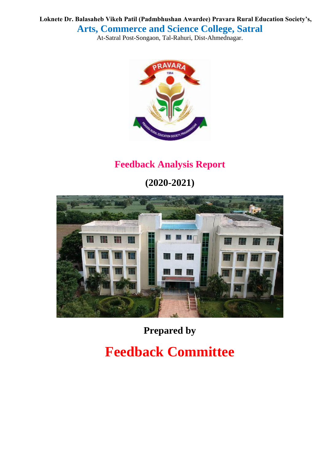**Loknete Dr. Balasaheb Vikeh Patil (Padmbhushan Awardee) Pravara Rural Education Society's, Arts, Commerce and Science College, Satral**

At-Satral Post-Songaon, Tal-Rahuri, Dist-Ahmednagar.



# **Feedback Analysis Report**

**(2020-2021)**



**Prepared by**

# **Feedback Committee**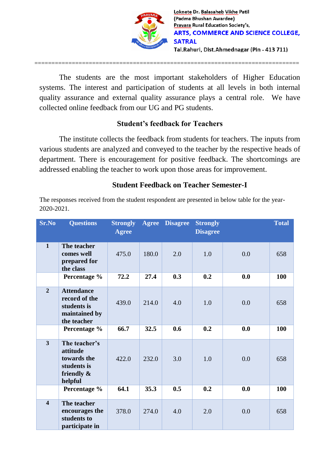

The students are the most important stakeholders of Higher Education systems. The interest and participation of students at all levels in both internal quality assurance and external quality assurance plays a central role. We have collected online feedback from our UG and PG students.

==============================================================================

#### **Student's feedback for Teachers**

The institute collects the feedback from students for teachers. The inputs from various students are analyzed and conveyed to the teacher by the respective heads of department. There is encouragement for positive feedback. The shortcomings are addressed enabling the teacher to work upon those areas for improvement.

#### **Student Feedback on Teacher Semester-I**

| Sr.No                   | <b>Questions</b>                                                                    | <b>Strongly</b><br><b>Agree</b> | <b>Agree</b> | <b>Disagree</b> | <b>Strongly</b><br><b>Disagree</b> |     | <b>Total</b> |
|-------------------------|-------------------------------------------------------------------------------------|---------------------------------|--------------|-----------------|------------------------------------|-----|--------------|
| $\mathbf{1}$            | The teacher<br>comes well<br>prepared for<br>the class                              | 475.0                           | 180.0        | 2.0             | 1.0                                | 0.0 | 658          |
|                         | Percentage %                                                                        | 72.2                            | 27.4         | 0.3             | 0.2                                | 0.0 | 100          |
| $\overline{2}$          | <b>Attendance</b><br>record of the<br>students is<br>maintained by<br>the teacher   | 439.0                           | 214.0        | 4.0             | 1.0                                | 0.0 | 658          |
|                         | Percentage %                                                                        | 66.7                            | 32.5         | 0.6             | 0.2                                | 0.0 | 100          |
| $\overline{\mathbf{3}}$ | The teacher's<br>attitude<br>towards the<br>students is<br>friendly $\&$<br>helpful | 422.0                           | 232.0        | 3.0             | 1.0                                | 0.0 | 658          |
|                         | Percentage %                                                                        | 64.1                            | 35.3         | 0.5             | 0.2                                | 0.0 | 100          |
| $\overline{\mathbf{4}}$ | The teacher<br>encourages the<br>students to<br>participate in                      | 378.0                           | 274.0        | 4.0             | 2.0                                | 0.0 | 658          |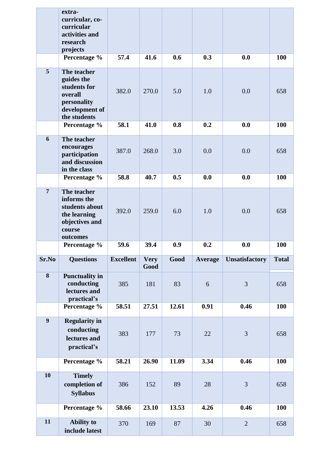|                | extra-<br>curricular, co-<br>curricular<br>activities and<br>research<br>projects                     |                  |                     |       |         |                       |              |
|----------------|-------------------------------------------------------------------------------------------------------|------------------|---------------------|-------|---------|-----------------------|--------------|
|                | Percentage %                                                                                          | 57.4             | 41.6                | 0.6   | 0.3     | 0.0                   | 100          |
| 5              | The teacher<br>guides the<br>students for<br>overall<br>personality<br>development of<br>the students | 382.0            | 270.0               | 5.0   | 1.0     | 0.0                   | 658          |
|                | Percentage %                                                                                          | 58.1             | 41.0                | 0.8   | 0.2     | 0.0                   | 100          |
| 6              | The teacher<br>encourages<br>participation<br>and discussion<br>in the class                          | 387.0            | 268.0               | 3.0   | 0.0     | 0.0                   | 658          |
|                | Percentage %                                                                                          | 58.8             | 40.7                | 0.5   | 0.0     | 0.0                   | <b>100</b>   |
| $\overline{7}$ | The teacher<br>informs the<br>students about<br>the learning<br>objectives and<br>course<br>outcomes  | 392.0            | 259.0               | 6.0   | 1.0     | 0.0                   | 658          |
|                | Percentage %                                                                                          | 59.6             | 39.4                | 0.9   | 0.2     | 0.0                   | 100          |
|                |                                                                                                       |                  |                     |       |         |                       |              |
| Sr.No          | <b>Questions</b>                                                                                      | <b>Excellent</b> | <b>Very</b><br>Good | Good  | Average | <b>Unsatisfactory</b> | <b>Total</b> |
| 8              | <b>Punctuality in</b><br>conducting<br>lectures and<br>practical's                                    | 385              | 181                 | 83    | 6       | 3                     | 658          |
|                | Percentage %                                                                                          | 58.51            | 27.51               | 12.61 | 0.91    | 0.46                  | <b>100</b>   |
| $\overline{9}$ | <b>Regularity in</b><br>conducting<br>lectures and<br>practical's                                     | 383              | 177                 | 73    | 22      | 3                     | 658          |
|                | Percentage %                                                                                          | 58.21            | 26.90               | 11.09 | 3.34    | 0.46                  | 100          |
| 10             | <b>Timely</b><br>completion of<br><b>Syllabus</b>                                                     | 386              | 152                 | 89    | 28      | $\overline{3}$        | 658          |
|                | Percentage %                                                                                          | 58.66            | 23.10               | 13.53 | 4.26    | 0.46                  | 100          |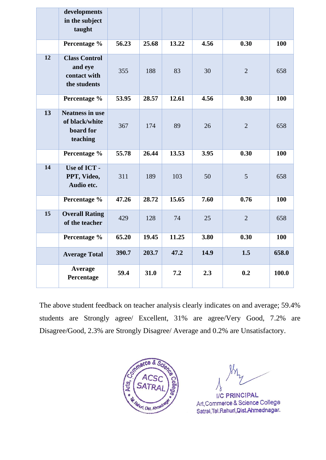|    | developments<br>in the subject<br>taught                          |       |       |       |      |                |            |
|----|-------------------------------------------------------------------|-------|-------|-------|------|----------------|------------|
|    | Percentage %                                                      | 56.23 | 25.68 | 13.22 | 4.56 | 0.30           | 100        |
| 12 | <b>Class Control</b><br>and eye<br>contact with<br>the students   | 355   | 188   | 83    | 30   | $\overline{2}$ | 658        |
|    | Percentage %                                                      | 53.95 | 28.57 | 12.61 | 4.56 | 0.30           | 100        |
| 13 | <b>Neatness in use</b><br>of black/white<br>board for<br>teaching | 367   | 174   | 89    | 26   | $\overline{2}$ | 658        |
|    | Percentage %                                                      | 55.78 | 26.44 | 13.53 | 3.95 | 0.30           | 100        |
| 14 | Use of ICT -<br>PPT, Video,<br>Audio etc.                         | 311   | 189   | 103   | 50   | 5              | 658        |
|    | Percentage %                                                      | 47.26 | 28.72 | 15.65 | 7.60 | 0.76           | 100        |
| 15 | <b>Overall Rating</b><br>of the teacher                           | 429   | 128   | 74    | 25   | $\overline{2}$ | 658        |
|    | Percentage %                                                      | 65.20 | 19.45 | 11.25 | 3.80 | 0.30           | <b>100</b> |
|    | <b>Average Total</b>                                              | 390.7 | 203.7 | 47.2  | 14.9 | 1.5            | 658.0      |
|    | Average<br>Percentage                                             | 59.4  | 31.0  | 7.2   | 2.3  | 0.2            | 100.0      |

The above student feedback on teacher analysis clearly indicates on and average; 59.4% students are Strongly agree/ Excellent, 31% are agree/Very Good, 7.2% are Disagree/Good, 2.3% are Strongly Disagree/ Average and 0.2% are Unsatisfactory.



**I/C PRINCIPAL** Art, Commerce & Science College Satral, Tal. Rahuri, Dist. Ahmednagar.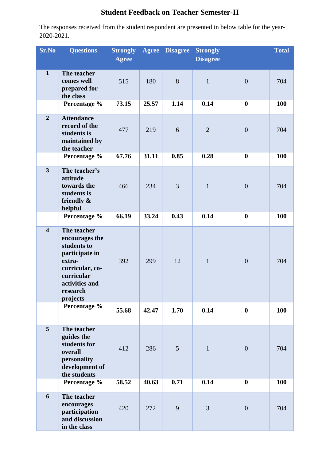## **Student Feedback on Teacher Semester-II**

| Sr.No                   | <b>Questions</b>                                                                                                                                    | <b>Strongly</b> | <b>Agree</b> | <b>Disagree</b> | <b>Strongly</b> |                  | <b>Total</b> |
|-------------------------|-----------------------------------------------------------------------------------------------------------------------------------------------------|-----------------|--------------|-----------------|-----------------|------------------|--------------|
|                         |                                                                                                                                                     | <b>Agree</b>    |              |                 | <b>Disagree</b> |                  |              |
| $\mathbf{1}$            | The teacher<br>comes well<br>prepared for<br>the class                                                                                              | 515             | 180          | 8               | $\mathbf{1}$    | $\overline{0}$   | 704          |
|                         | Percentage %                                                                                                                                        | 73.15           | 25.57        | 1.14            | 0.14            | $\boldsymbol{0}$ | <b>100</b>   |
| $\overline{2}$          | <b>Attendance</b><br>record of the<br>students is<br>maintained by<br>the teacher                                                                   | 477             | 219          | 6               | $\overline{2}$  | $\boldsymbol{0}$ | 704          |
|                         | Percentage %                                                                                                                                        | 67.76           | 31.11        | 0.85            | 0.28            | $\boldsymbol{0}$ | 100          |
| $\overline{\mathbf{3}}$ | The teacher's<br>attitude<br>towards the<br>students is<br>friendly &<br>helpful                                                                    | 466             | 234          | $\overline{3}$  | $\mathbf{1}$    | $\overline{0}$   | 704          |
|                         | Percentage %                                                                                                                                        | 66.19           | 33.24        | 0.43            | 0.14            | $\boldsymbol{0}$ | 100          |
| $\overline{\mathbf{4}}$ | The teacher<br>encourages the<br>students to<br>participate in<br>extra-<br>curricular, co-<br>curricular<br>activities and<br>research<br>projects | 392             | 299          | 12              | $\mathbf{1}$    | $\overline{0}$   | 704          |
|                         | Percentage %                                                                                                                                        | 55.68           | 42.47        | 1.70            | 0.14            | $\boldsymbol{0}$ | 100          |
| 5                       | The teacher<br>guides the<br>students for<br>overall<br>personality<br>development of<br>the students                                               | 412             | 286          | 5               | $\mathbf{1}$    | $\overline{0}$   | 704          |
|                         | Percentage %                                                                                                                                        | 58.52           | 40.63        | 0.71            | 0.14            | $\boldsymbol{0}$ | 100          |
| 6                       | The teacher<br>encourages<br>participation<br>and discussion<br>in the class                                                                        | 420             | 272          | 9               | 3               | $\boldsymbol{0}$ | 704          |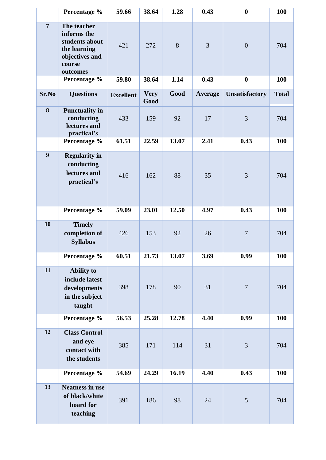|                  | Percentage %                                                                                         | 59.66            | 38.64               | 1.28  | 0.43           | $\boldsymbol{0}$      | <b>100</b>   |
|------------------|------------------------------------------------------------------------------------------------------|------------------|---------------------|-------|----------------|-----------------------|--------------|
| $\overline{7}$   | The teacher<br>informs the<br>students about<br>the learning<br>objectives and<br>course<br>outcomes | 421              | 272                 | 8     | 3              | $\overline{0}$        | 704          |
|                  | Percentage %                                                                                         | 59.80            | 38.64               | 1.14  | 0.43           | $\boldsymbol{0}$      | <b>100</b>   |
| Sr.No            | <b>Questions</b>                                                                                     | <b>Excellent</b> | <b>Very</b><br>Good | Good  | <b>Average</b> | <b>Unsatisfactory</b> | <b>Total</b> |
| 8                | <b>Punctuality in</b><br>conducting<br>lectures and<br>practical's                                   | 433              | 159                 | 92    | 17             | 3                     | 704          |
|                  | Percentage %                                                                                         | 61.51            | 22.59               | 13.07 | 2.41           | 0.43                  | <b>100</b>   |
| $\boldsymbol{9}$ | <b>Regularity in</b><br>conducting<br>lectures and<br>practical's                                    | 416              | 162                 | 88    | 35             | 3                     | 704          |
|                  | Percentage %                                                                                         | 59.09            | 23.01               | 12.50 | 4.97           | 0.43                  | 100          |
| 10               | <b>Timely</b><br>completion of<br><b>Syllabus</b>                                                    | 426              | 153                 | 92    | 26             | $\tau$                | 704          |
|                  | Percentage %                                                                                         | 60.51            | 21.73               | 13.07 | 3.69           | 0.99                  | <b>100</b>   |
| $\overline{11}$  | <b>Ability to</b><br>include latest<br>developments<br>in the subject<br>taught                      | 398              | 178                 | 90    | 31             | $\tau$                | 704          |
|                  | Percentage %                                                                                         | 56.53            | 25.28               | 12.78 | 4.40           | 0.99                  | <b>100</b>   |
| 12               | <b>Class Control</b><br>and eye<br>contact with<br>the students                                      | 385              | 171                 | 114   | 31             | 3                     | 704          |
|                  | Percentage %                                                                                         | 54.69            | 24.29               | 16.19 | 4.40           | 0.43                  | 100          |
| 13               | <b>Neatness in use</b><br>of black/white<br>board for<br>teaching                                    | 391              | 186                 | 98    | 24             | 5                     | 704          |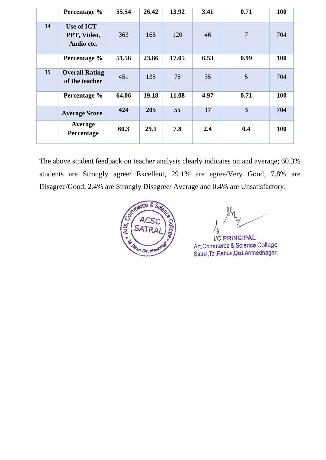|                  | Percentage %                              | 55.54 | 26.42 | 13.92 | 3.41 | 0.71                    | <b>100</b> |
|------------------|-------------------------------------------|-------|-------|-------|------|-------------------------|------------|
| 14               | Use of ICT -<br>PPT, Video,<br>Audio etc. | 363   | 168   | 120   | 46   | $\overline{7}$          | 704        |
|                  | Percentage %                              | 51.56 | 23.86 | 17.05 | 6.53 | 0.99                    | <b>100</b> |
| 15 <sup>15</sup> | <b>Overall Rating</b><br>of the teacher   | 451   | 135   | 78    | 35   | 5                       | 704        |
|                  | Percentage %                              | 64.06 | 19.18 | 11.08 | 4.97 | 0.71                    | <b>100</b> |
|                  | <b>Average Score</b>                      | 424   | 205   | 55    | 17   | $\overline{\mathbf{3}}$ | 704        |
|                  | Average<br>Percentage                     | 60.3  | 29.1  | 7.8   | 2.4  | 0.4                     | <b>100</b> |

The above student feedback on teacher analysis clearly indicates on and average; 60.3% students are Strongly agree/ Excellent, 29.1% are agree/Very Good, 7.8% are Disagree/Good, 2.4% are Strongly Disagree/ Average and 0.4% are Unsatisfactory.



I/C PRINCIPAL Art, Commerce & Science College Satral, Tal. Rahuri, Dist. Ahmednagar.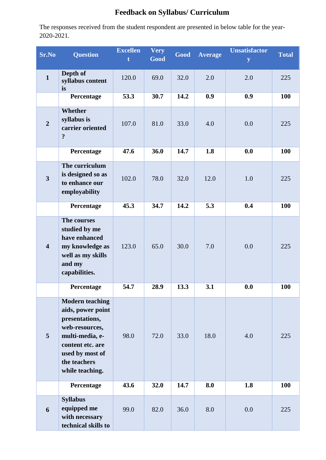## **Feedback on Syllabus/ Curriculum**

| <b>Sr.No</b>            | <b>Question</b>                                                                                                                                                              | <b>Excellen</b><br>t | <b>Very</b><br>Good | Good | <b>Average</b> | <b>Unsatisfactor</b><br>y | <b>Total</b> |
|-------------------------|------------------------------------------------------------------------------------------------------------------------------------------------------------------------------|----------------------|---------------------|------|----------------|---------------------------|--------------|
| $\mathbf{1}$            | Depth of<br>syllabus content<br>is                                                                                                                                           | 120.0                | 69.0                | 32.0 | 2.0            | 2.0                       | 225          |
|                         | Percentage                                                                                                                                                                   | 53.3                 | 30.7                | 14.2 | 0.9            | 0.9                       | 100          |
| $\overline{2}$          | Whether<br>syllabus is<br>carrier oriented<br>$\ddot{\cdot}$                                                                                                                 | 107.0                | 81.0                | 33.0 | 4.0            | 0.0                       | 225          |
|                         | Percentage                                                                                                                                                                   | 47.6                 | 36.0                | 14.7 | 1.8            | 0.0                       | 100          |
| $\overline{\mathbf{3}}$ | The curriculum<br>is designed so as<br>to enhance our<br>employability                                                                                                       | 102.0                | 78.0                | 32.0 | 12.0           | 1.0                       | 225          |
|                         | Percentage                                                                                                                                                                   | 45.3                 | 34.7                | 14.2 | 5.3            | 0.4                       | 100          |
| $\overline{\mathbf{4}}$ | The courses<br>studied by me<br>have enhanced<br>my knowledge as<br>well as my skills<br>and my<br>capabilities.                                                             | 123.0                | 65.0                | 30.0 | 7.0            | 0.0                       | 225          |
|                         | Percentage                                                                                                                                                                   | 54.7                 | 28.9                | 13.3 | 3.1            | 0.0                       | 100          |
| 5                       | <b>Modern teaching</b><br>aids, power point<br>presentations,<br>web-resources,<br>multi-media, e-<br>content etc. are<br>used by most of<br>the teachers<br>while teaching. | 98.0                 | 72.0                | 33.0 | 18.0           | 4.0                       | 225          |
|                         | Percentage                                                                                                                                                                   | 43.6                 | 32.0                | 14.7 | 8.0            | 1.8                       | 100          |
| 6                       | <b>Syllabus</b><br>equipped me<br>with necessary<br>technical skills to                                                                                                      | 99.0                 | 82.0                | 36.0 | 8.0            | 0.0                       | 225          |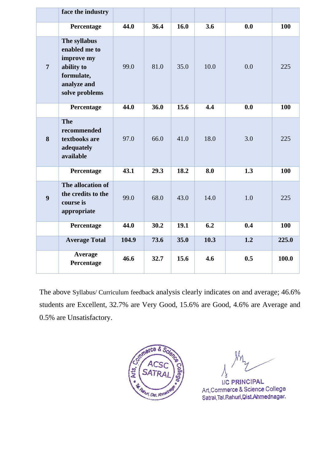|                | face the industry                                                                                        |       |      |      |      |     |       |
|----------------|----------------------------------------------------------------------------------------------------------|-------|------|------|------|-----|-------|
|                | Percentage                                                                                               | 44.0  | 36.4 | 16.0 | 3.6  | 0.0 | 100   |
| $\overline{7}$ | The syllabus<br>enabled me to<br>improve my<br>ability to<br>formulate,<br>analyze and<br>solve problems | 99.0  | 81.0 | 35.0 | 10.0 | 0.0 | 225   |
|                | Percentage                                                                                               | 44.0  | 36.0 | 15.6 | 4.4  | 0.0 | 100   |
| 8              | <b>The</b><br>recommended<br>textbooks are<br>adequately<br>available                                    | 97.0  | 66.0 | 41.0 | 18.0 | 3.0 | 225   |
|                | Percentage                                                                                               | 43.1  | 29.3 | 18.2 | 8.0  | 1.3 | 100   |
| 9              | The allocation of<br>the credits to the<br>course is<br>appropriate                                      | 99.0  | 68.0 | 43.0 | 14.0 | 1.0 | 225   |
|                | Percentage                                                                                               | 44.0  | 30.2 | 19.1 | 6.2  | 0.4 | 100   |
|                | <b>Average Total</b>                                                                                     | 104.9 | 73.6 | 35.0 | 10.3 | 1.2 | 225.0 |
|                | <b>Average</b><br>Percentage                                                                             | 46.6  | 32.7 | 15.6 | 4.6  | 0.5 | 100.0 |

The above Syllabus/ Curriculum feedback analysis clearly indicates on and average; 46.6% students are Excellent, 32.7% are Very Good, 15.6% are Good, 4.6% are Average and 0.5% are Unsatisfactory.



**I/C PRINCIPAL** Art, Commerce & Science College Satral, Tal. Rahuri, Dist. Ahmednagar.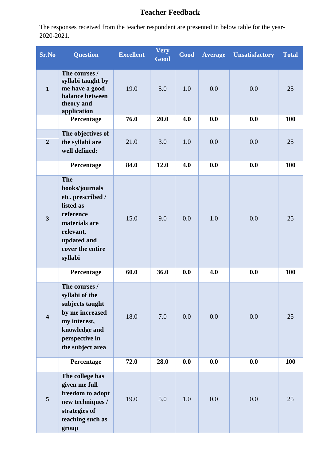## **Teacher Feedback**

| <b>Sr.No</b>            | <b>Question</b>                                                                                                                                         | <b>Excellent</b> | <b>Very</b><br>Good | Good | <b>Average</b> | <b>Unsatisfactory</b> | <b>Total</b> |
|-------------------------|---------------------------------------------------------------------------------------------------------------------------------------------------------|------------------|---------------------|------|----------------|-----------------------|--------------|
| $\mathbf{1}$            | The courses /<br>syllabi taught by<br>me have a good<br>balance between<br>theory and<br>application                                                    | 19.0             | 5.0                 | 1.0  | 0.0            | 0.0                   | 25           |
|                         | Percentage                                                                                                                                              | 76.0             | 20.0                | 4.0  | 0.0            | 0.0                   | <b>100</b>   |
| $\overline{2}$          | The objectives of<br>the syllabi are<br>well defined:                                                                                                   | 21.0             | 3.0                 | 1.0  | 0.0            | 0.0                   | 25           |
|                         | Percentage                                                                                                                                              | 84.0             | 12.0                | 4.0  | 0.0            | 0.0                   | 100          |
| $\overline{\mathbf{3}}$ | <b>The</b><br>books/journals<br>etc. prescribed /<br>listed as<br>reference<br>materials are<br>relevant,<br>updated and<br>cover the entire<br>syllabi | 15.0             | 9.0                 | 0.0  | 1.0            | 0.0                   | 25           |
|                         | Percentage                                                                                                                                              | 60.0             | 36.0                | 0.0  | 4.0            | 0.0                   | 100          |
| $\overline{\mathbf{4}}$ | The courses /<br>syllabi of the<br>subjects taught<br>by me increased<br>my interest,<br>knowledge and<br>perspective in<br>the subject area            | 18.0             | 7.0                 | 0.0  | 0.0            | 0.0                   | 25           |
|                         | Percentage                                                                                                                                              | 72.0             | 28.0                | 0.0  | 0.0            | 0.0                   | <b>100</b>   |
| 5                       | The college has<br>given me full<br>freedom to adopt<br>new techniques /<br>strategies of<br>teaching such as<br>group                                  | 19.0             | 5.0                 | 1.0  | 0.0            | 0.0                   | 25           |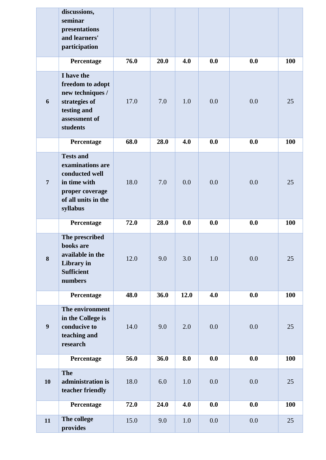|                  | discussions,<br>seminar<br>presentations<br>and learners'<br>participation                                                   |      |      |      |     |     |            |
|------------------|------------------------------------------------------------------------------------------------------------------------------|------|------|------|-----|-----|------------|
|                  | Percentage                                                                                                                   | 76.0 | 20.0 | 4.0  | 0.0 | 0.0 | 100        |
| 6                | I have the<br>freedom to adopt<br>new techniques /<br>strategies of<br>testing and<br>assessment of<br>students              | 17.0 | 7.0  | 1.0  | 0.0 | 0.0 | 25         |
|                  | Percentage                                                                                                                   | 68.0 | 28.0 | 4.0  | 0.0 | 0.0 | 100        |
| $7\overline{ }$  | <b>Tests and</b><br>examinations are<br>conducted well<br>in time with<br>proper coverage<br>of all units in the<br>syllabus | 18.0 | 7.0  | 0.0  | 0.0 | 0.0 | 25         |
|                  | Percentage                                                                                                                   | 72.0 | 28.0 | 0.0  | 0.0 | 0.0 | 100        |
| 8                | The prescribed<br>books are<br>available in the<br>Library in<br><b>Sufficient</b><br>numbers                                | 12.0 | 9.0  | 3.0  | 1.0 | 0.0 | 25         |
|                  | Percentage                                                                                                                   | 48.0 | 36.0 | 12.0 | 4.0 | 0.0 | 100        |
| $\boldsymbol{9}$ | The environment<br>in the College is<br>conducive to<br>teaching and<br>research                                             | 14.0 | 9.0  | 2.0  | 0.0 | 0.0 | 25         |
|                  | Percentage                                                                                                                   | 56.0 | 36.0 | 8.0  | 0.0 | 0.0 | 100        |
| 10               | <b>The</b><br>administration is<br>teacher friendly                                                                          | 18.0 | 6.0  | 1.0  | 0.0 | 0.0 | 25         |
|                  | Percentage                                                                                                                   | 72.0 | 24.0 | 4.0  | 0.0 | 0.0 | <b>100</b> |
| 11               | The college<br>provides                                                                                                      | 15.0 | 9.0  | 1.0  | 0.0 | 0.0 | 25         |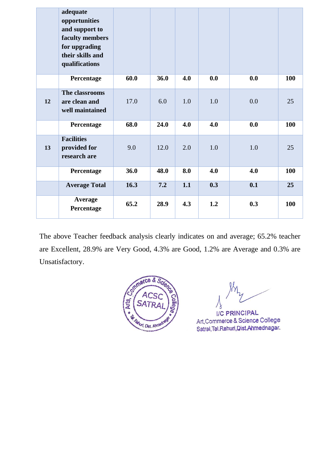|    | adequate<br>opportunities<br>and support to<br>faculty members<br>for upgrading<br>their skills and<br>qualifications |      |      |     |     |     |     |
|----|-----------------------------------------------------------------------------------------------------------------------|------|------|-----|-----|-----|-----|
|    | Percentage                                                                                                            | 60.0 | 36.0 | 4.0 | 0.0 | 0.0 | 100 |
| 12 | The classrooms<br>are clean and<br>well maintained                                                                    | 17.0 | 6.0  | 1.0 | 1.0 | 0.0 | 25  |
|    | Percentage                                                                                                            | 68.0 | 24.0 | 4.0 | 4.0 | 0.0 | 100 |
| 13 | <b>Facilities</b><br>provided for<br>research are                                                                     | 9.0  | 12.0 | 2.0 | 1.0 | 1.0 | 25  |
|    | Percentage                                                                                                            | 36.0 | 48.0 | 8.0 | 4.0 | 4.0 | 100 |
|    | <b>Average Total</b>                                                                                                  | 16.3 | 7.2  | 1.1 | 0.3 | 0.1 | 25  |
|    | Average<br>Percentage                                                                                                 | 65.2 | 28.9 | 4.3 | 1.2 | 0.3 | 100 |

The above Teacher feedback analysis clearly indicates on and average; 65.2% teacher are Excellent, 28.9% are Very Good, 4.3% are Good, 1.2% are Average and 0.3% are Unsatisfactory.



**I/C PRINCIPAL** Art, Commerce & Science College Satral, Tal. Rahuri, Dist. Ahmednagar.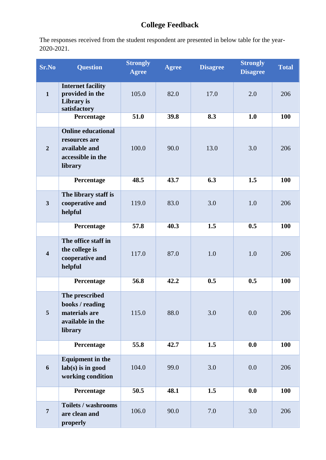# **College Feedback**

| <b>Sr.No</b>            | <b>Question</b>                                                                             | <b>Strongly</b><br><b>Agree</b> | <b>Agree</b> | <b>Disagree</b> | <b>Strongly</b><br><b>Disagree</b> | <b>Total</b> |
|-------------------------|---------------------------------------------------------------------------------------------|---------------------------------|--------------|-----------------|------------------------------------|--------------|
| $\mathbf{1}$            | <b>Internet facility</b><br>provided in the<br>Library is<br>satisfactory                   | 105.0                           | 82.0         | 17.0            | 2.0                                | 206          |
|                         | Percentage                                                                                  | 51.0                            | 39.8         | 8.3             | 1.0                                | 100          |
| $\overline{2}$          | <b>Online educational</b><br>resources are<br>available and<br>accessible in the<br>library | 100.0                           | 90.0         | 13.0            | 3.0                                | 206          |
|                         | Percentage                                                                                  | 48.5                            | 43.7         | 6.3             | 1.5                                | 100          |
| $\mathbf{3}$            | The library staff is<br>cooperative and<br>helpful                                          | 119.0                           | 83.0         | 3.0             | 1.0                                | 206          |
|                         | Percentage                                                                                  | 57.8                            | 40.3         | 1.5             | 0.5                                | 100          |
| $\overline{\mathbf{4}}$ | The office staff in<br>the college is<br>cooperative and<br>helpful                         | 117.0                           | 87.0         | 1.0             | 1.0                                | 206          |
|                         | Percentage                                                                                  | 56.8                            | 42.2         | 0.5             | 0.5                                | 100          |
| 5                       | The prescribed<br>books / reading<br>materials are<br>available in the<br>library           | 115.0                           | 88.0         | 3.0             | 0.0                                | 206          |
|                         | Percentage                                                                                  | 55.8                            | 42.7         | 1.5             | 0.0                                | 100          |
| 6                       | <b>Equipment in the</b><br>$lab(s)$ is in good<br>working condition                         | 104.0                           | 99.0         | 3.0             | 0.0                                | 206          |
|                         | Percentage                                                                                  | 50.5                            | 48.1         | 1.5             | 0.0                                | <b>100</b>   |
| $\overline{7}$          | <b>Toilets / washrooms</b><br>are clean and<br>properly                                     | 106.0                           | 90.0         | 7.0             | 3.0                                | 206          |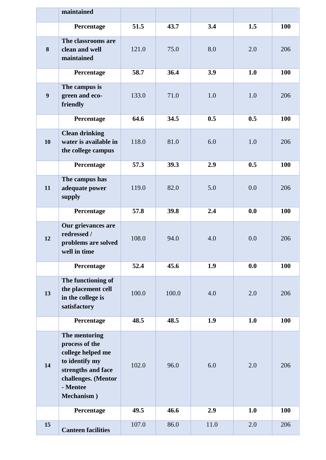|                  | maintained                                                                                                                                    |       |       |      |     |            |
|------------------|-----------------------------------------------------------------------------------------------------------------------------------------------|-------|-------|------|-----|------------|
|                  | Percentage                                                                                                                                    | 51.5  | 43.7  | 3.4  | 1.5 | 100        |
| 8                | The classrooms are<br>clean and well<br>maintained                                                                                            | 121.0 | 75.0  | 8.0  | 2.0 | 206        |
|                  | Percentage                                                                                                                                    | 58.7  | 36.4  | 3.9  | 1.0 | 100        |
| $\boldsymbol{9}$ | The campus is<br>green and eco-<br>friendly                                                                                                   | 133.0 | 71.0  | 1.0  | 1.0 | 206        |
|                  | Percentage                                                                                                                                    | 64.6  | 34.5  | 0.5  | 0.5 | 100        |
| 10               | <b>Clean drinking</b><br>water is available in<br>the college campus                                                                          | 118.0 | 81.0  | 6.0  | 1.0 | 206        |
|                  | Percentage                                                                                                                                    | 57.3  | 39.3  | 2.9  | 0.5 | 100        |
| 11               | The campus has<br>adequate power<br>supply                                                                                                    | 119.0 | 82.0  | 5.0  | 0.0 | 206        |
|                  | Percentage                                                                                                                                    | 57.8  | 39.8  | 2.4  | 0.0 | 100        |
| 12               | Our grievances are<br>redressed /<br>problems are solved<br>well in time                                                                      | 108.0 | 94.0  | 4.0  | 0.0 | 206        |
|                  | Percentage                                                                                                                                    | 52.4  | 45.6  | 1.9  | 0.0 | 100        |
| 13               | The functioning of<br>the placement cell<br>in the college is<br>satisfactory                                                                 | 100.0 | 100.0 | 4.0  | 2.0 | 206        |
|                  | Percentage                                                                                                                                    | 48.5  | 48.5  | 1.9  | 1.0 | <b>100</b> |
| 14               | The mentoring<br>process of the<br>college helped me<br>to identify my<br>strengths and face<br>challenges. (Mentor<br>- Mentee<br>Mechanism) | 102.0 | 96.0  | 6.0  | 2.0 | 206        |
|                  | Percentage                                                                                                                                    | 49.5  | 46.6  | 2.9  | 1.0 | <b>100</b> |
| 15               | <b>Canteen facilities</b>                                                                                                                     | 107.0 | 86.0  | 11.0 | 2.0 | 206        |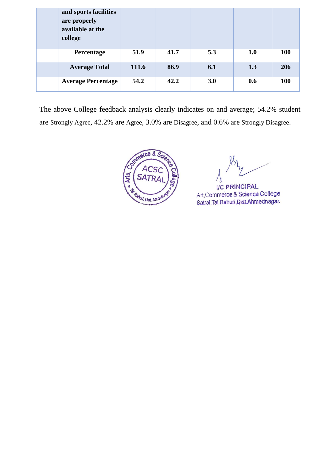| and sports facilities<br>are properly<br>available at the<br>college |       |      |     |     |            |
|----------------------------------------------------------------------|-------|------|-----|-----|------------|
| Percentage                                                           | 51.9  | 41.7 | 5.3 | 1.0 | <b>100</b> |
| <b>Average Total</b>                                                 | 111.6 | 86.9 | 6.1 | 1.3 | 206        |
| <b>Average Percentage</b>                                            | 54.2  | 42.2 | 3.0 | 0.6 | <b>100</b> |

The above College feedback analysis clearly indicates on and average; 54.2% student are Strongly Agree, 42.2% are Agree, 3.0% are Disagree, and 0.6% are Strongly Disagree.



I/C PRINCIPAL Art, Commerce & Science College Satral, Tal. Rahuri, Dist. Ahmednagar.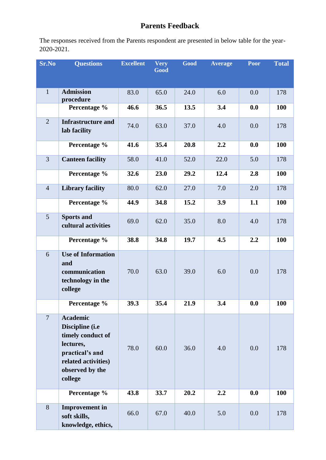#### **Parents Feedback**

| Sr.No          | <b>Questions</b>                                                                                                                             | <b>Excellent</b> | <b>Very</b><br>Good | Good | <b>Average</b> | <b>Poor</b> | <b>Total</b> |
|----------------|----------------------------------------------------------------------------------------------------------------------------------------------|------------------|---------------------|------|----------------|-------------|--------------|
| $\mathbf{1}$   | <b>Admission</b><br>procedure                                                                                                                | 83.0             | 65.0                | 24.0 | 6.0            | 0.0         | 178          |
|                | Percentage %                                                                                                                                 | 46.6             | 36.5                | 13.5 | 3.4            | 0.0         | 100          |
| $\overline{2}$ | <b>Infrastructure and</b><br>lab facility                                                                                                    | 74.0             | 63.0                | 37.0 | 4.0            | 0.0         | 178          |
|                | Percentage %                                                                                                                                 | 41.6             | 35.4                | 20.8 | 2.2            | 0.0         | 100          |
| 3              | <b>Canteen facility</b>                                                                                                                      | 58.0             | 41.0                | 52.0 | 22.0           | 5.0         | 178          |
|                | Percentage %                                                                                                                                 | 32.6             | 23.0                | 29.2 | 12.4           | 2.8         | 100          |
| $\overline{4}$ | <b>Library facility</b>                                                                                                                      | 80.0             | 62.0                | 27.0 | 7.0            | 2.0         | 178          |
|                | Percentage %                                                                                                                                 | 44.9             | 34.8                | 15.2 | 3.9            | 1.1         | 100          |
| 5              | <b>Sports and</b><br>cultural activities                                                                                                     | 69.0             | 62.0                | 35.0 | 8.0            | 4.0         | 178          |
|                | Percentage %                                                                                                                                 | 38.8             | 34.8                | 19.7 | 4.5            | 2.2         | 100          |
| 6              | <b>Use of Information</b><br>and<br>communication<br>technology in the<br>college                                                            | 70.0             | 63.0                | 39.0 | 6.0            | 0.0         | 178          |
|                | Percentage %                                                                                                                                 | 39.3             | 35.4                | 21.9 | 3.4            | 0.0         | <b>100</b>   |
| $\overline{7}$ | <b>Academic</b><br>Discipline (i.e<br>timely conduct of<br>lectures,<br>practical's and<br>related activities)<br>observed by the<br>college | 78.0             | 60.0                | 36.0 | 4.0            | 0.0         | 178          |
|                | Percentage %                                                                                                                                 | 43.8             | 33.7                | 20.2 | 2.2            | 0.0         | <b>100</b>   |
| 8              | <b>Improvement</b> in<br>soft skills,<br>knowledge, ethics,                                                                                  | 66.0             | 67.0                | 40.0 | 5.0            | 0.0         | 178          |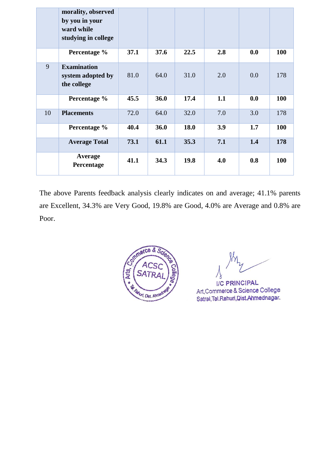|    | morality, observed<br>by you in your<br>ward while<br>studying in college |      |      |      |     |     |            |
|----|---------------------------------------------------------------------------|------|------|------|-----|-----|------------|
|    | Percentage %                                                              | 37.1 | 37.6 | 22.5 | 2.8 | 0.0 | <b>100</b> |
| 9  | <b>Examination</b><br>system adopted by<br>the college                    | 81.0 | 64.0 | 31.0 | 2.0 | 0.0 | 178        |
|    | Percentage %                                                              | 45.5 | 36.0 | 17.4 | 1.1 | 0.0 | <b>100</b> |
| 10 | <b>Placements</b>                                                         | 72.0 | 64.0 | 32.0 | 7.0 | 3.0 | 178        |
|    | Percentage %                                                              | 40.4 | 36.0 | 18.0 | 3.9 | 1.7 | <b>100</b> |
|    | <b>Average Total</b>                                                      | 73.1 | 61.1 | 35.3 | 7.1 | 1.4 | 178        |
|    | <b>Average</b><br>Percentage                                              | 41.1 | 34.3 | 19.8 | 4.0 | 0.8 | <b>100</b> |

The above Parents feedback analysis clearly indicates on and average; 41.1% parents are Excellent, 34.3% are Very Good, 19.8% are Good, 4.0% are Average and 0.8% are Poor.



I/C PRINCIPAL Art, Commerce & Science College Satral, Tal. Rahuri, Dist. Ahmednagar.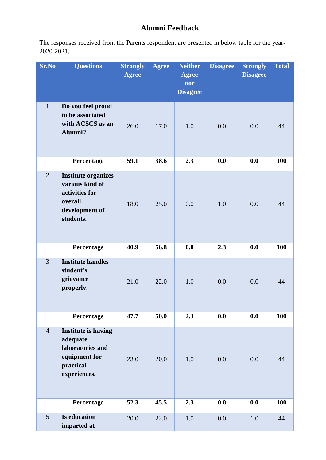#### **Alumni Feedback**

| Sr.No          | <b>Questions</b>                                                                                          | <b>Strongly</b><br><b>Agree</b> | <b>Agree</b> | <b>Neither</b><br><b>Agree</b><br>nor | <b>Disagree</b> | <b>Strongly</b><br><b>Disagree</b> | <b>Total</b> |
|----------------|-----------------------------------------------------------------------------------------------------------|---------------------------------|--------------|---------------------------------------|-----------------|------------------------------------|--------------|
|                |                                                                                                           |                                 |              | <b>Disagree</b>                       |                 |                                    |              |
| $\mathbf{1}$   | Do you feel proud<br>to be associated<br>with ACSCS as an<br>Alumni?                                      | 26.0                            | 17.0         | 1.0                                   | 0.0             | 0.0                                | 44           |
|                | Percentage                                                                                                | 59.1                            | 38.6         | 2.3                                   | 0.0             | 0.0                                | 100          |
| $\overline{2}$ | <b>Institute organizes</b><br>various kind of<br>activities for<br>overall<br>development of<br>students. | 18.0                            | 25.0         | 0.0                                   | 1.0             | 0.0                                | 44           |
|                | Percentage                                                                                                | 40.9                            | 56.8         | 0.0                                   | 2.3             | 0.0                                | 100          |
| $\overline{3}$ | <b>Institute handles</b><br>student's<br>grievance<br>properly.                                           | 21.0                            | 22.0         | 1.0                                   | 0.0             | 0.0                                | 44           |
|                | Percentage                                                                                                | 47.7                            | 50.0         | 2.3                                   | 0.0             | 0.0                                | 100          |
| $\overline{4}$ | <b>Institute is having</b><br>adequate<br>laboratories and<br>equipment for<br>practical<br>experiences.  | 23.0                            | 20.0         | 1.0                                   | 0.0             | 0.0                                | 44           |
|                | Percentage                                                                                                | 52.3                            | 45.5         | 2.3                                   | 0.0             | 0.0                                | 100          |
| 5              | <b>Is education</b><br>imparted at                                                                        | 20.0                            | 22.0         | 1.0                                   | 0.0             | 1.0                                | 44           |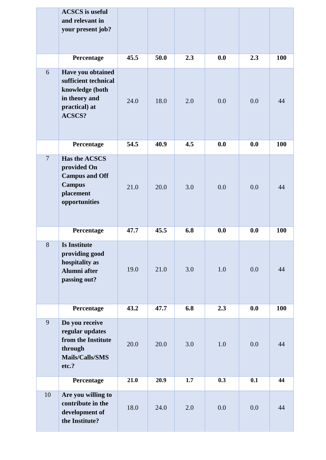|                | <b>ACSCS</b> is useful<br>and relevant in<br>your present job?                                              |      |      |     |     |     |     |
|----------------|-------------------------------------------------------------------------------------------------------------|------|------|-----|-----|-----|-----|
|                | Percentage                                                                                                  | 45.5 | 50.0 | 2.3 | 0.0 | 2.3 | 100 |
| 6              | Have you obtained<br>sufficient technical<br>knowledge (both<br>in theory and<br>practical) at<br>ACSCS?    | 24.0 | 18.0 | 2.0 | 0.0 | 0.0 | 44  |
|                | Percentage                                                                                                  | 54.5 | 40.9 | 4.5 | 0.0 | 0.0 | 100 |
| $\overline{7}$ | <b>Has the ACSCS</b><br>provided On<br><b>Campus and Off</b><br><b>Campus</b><br>placement<br>opportunities | 21.0 | 20.0 | 3.0 | 0.0 | 0.0 | 44  |
|                | Percentage                                                                                                  | 47.7 | 45.5 | 6.8 | 0.0 | 0.0 | 100 |
| 8              | <b>Is Institute</b><br>providing good<br>hospitality as<br>Alumni after<br>passing out?                     | 19.0 | 21.0 | 3.0 | 1.0 | 0.0 | 44  |
|                | Percentage                                                                                                  | 43.2 | 47.7 | 6.8 | 2.3 | 0.0 | 100 |
| 9              | Do you receive<br>regular updates<br>from the Institute<br>through<br>Mails/Calls/SMS<br>etc.?              | 20.0 | 20.0 | 3.0 | 1.0 | 0.0 | 44  |
|                | Percentage                                                                                                  | 21.0 | 20.9 | 1.7 | 0.3 | 0.1 | 44  |
| 10             | Are you willing to<br>contribute in the<br>development of<br>the Institute?                                 | 18.0 | 24.0 | 2.0 | 0.0 | 0.0 | 44  |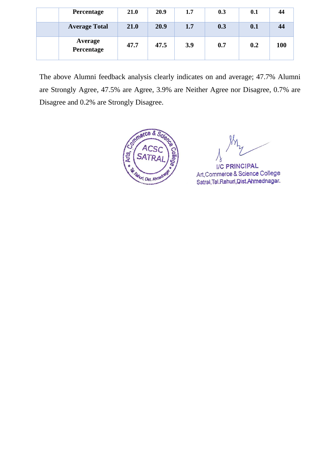| Percentage            | 21.0 | 20.9 | 1.7 | 0.3 | 0.1 | 44  |
|-----------------------|------|------|-----|-----|-----|-----|
| <b>Average Total</b>  | 21.0 | 20.9 | 1.7 | 0.3 | 0.1 | 44  |
| Average<br>Percentage | 47.7 | 47.5 | 3.9 | 0.7 | 0.2 | 100 |

The above Alumni feedback analysis clearly indicates on and average; 47.7% Alumni are Strongly Agree, 47.5% are Agree, 3.9% are Neither Agree nor Disagree, 0.7% are Disagree and 0.2% are Strongly Disagree.



I/C PRINCIPAL Art, Commerce & Science College Satral, Tal. Rahuri, Dist. Ahmednagar.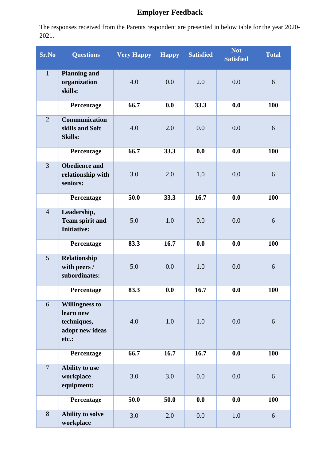## **Employer Feedback**

| <b>Sr.No</b>   | <b>Questions</b>                                                              | <b>Very Happy</b> | <b>Happy</b> | <b>Satisfied</b> | <b>Not</b><br><b>Satisfied</b> | <b>Total</b> |
|----------------|-------------------------------------------------------------------------------|-------------------|--------------|------------------|--------------------------------|--------------|
| $\mathbf{1}$   | <b>Planning and</b><br>organization<br>skills:                                | 4.0               | 0.0          | 2.0              | 0.0                            | 6            |
|                | Percentage                                                                    | 66.7              | 0.0          | 33.3             | 0.0                            | 100          |
| $\overline{2}$ | <b>Communication</b><br>skills and Soft<br><b>Skills:</b>                     | 4.0               | 2.0          | 0.0              | 0.0                            | 6            |
|                | Percentage                                                                    | 66.7              | 33.3         | 0.0              | 0.0                            | 100          |
| $\overline{3}$ | <b>Obedience and</b><br>relationship with<br>seniors:                         | 3.0               | 2.0          | 1.0              | 0.0                            | 6            |
|                | Percentage                                                                    | 50.0              | 33.3         | 16.7             | 0.0                            | 100          |
| $\overline{4}$ | Leadership,<br><b>Team spirit and</b><br><b>Initiative:</b>                   | 5.0               | 1.0          | 0.0              | 0.0                            | 6            |
|                | Percentage                                                                    | 83.3              | 16.7         | 0.0              | 0.0                            | 100          |
| 5              | Relationship<br>with peers /<br>subordinates:                                 | 5.0               | 0.0          | 1.0              | 0.0                            | 6            |
|                | Percentage                                                                    | 83.3              | 0.0          | 16.7             | 0.0                            | <b>100</b>   |
| 6              | <b>Willingness to</b><br>learn new<br>techniques,<br>adopt new ideas<br>etc.: | 4.0               | 1.0          | 1.0              | 0.0                            | 6            |
|                | Percentage                                                                    | 66.7              | 16.7         | 16.7             | 0.0                            | 100          |
| $\overline{7}$ | Ability to use<br>workplace<br>equipment:                                     | 3.0               | 3.0          | 0.0              | 0.0                            | 6            |
|                | Percentage                                                                    | 50.0              | 50.0         | 0.0              | 0.0                            | <b>100</b>   |
| $\overline{8}$ | Ability to solve<br>workplace                                                 | 3.0               | 2.0          | 0.0              | $1.0\,$                        | 6            |